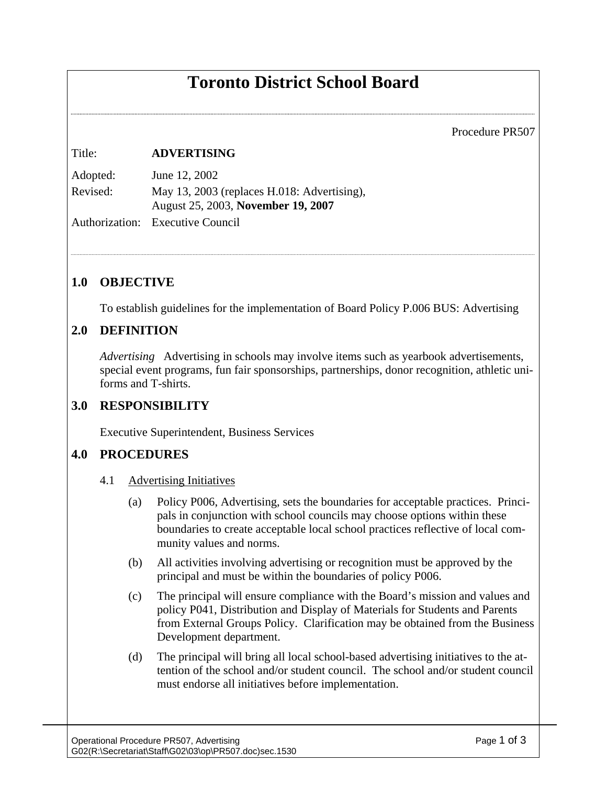# **Toronto District School Board**

Procedure PR507

#### Title: **ADVERTISING**

Adopted: June 12, 2002 Revised: May 13, 2003 (replaces H.018: Advertising), August 25, 2003, **November 19, 2007**

Authorization: Executive Council

### **1.0 OBJECTIVE**

To establish guidelines for the implementation of Board Policy P.006 BUS: Advertising

#### **2.0 DEFINITION**

*Advertising* Advertising in schools may involve items such as yearbook advertisements, special event programs, fun fair sponsorships, partnerships, donor recognition, athletic uniforms and T-shirts.

#### **3.0 RESPONSIBILITY**

Executive Superintendent, Business Services

## **4.0 PROCEDURES**

- 4.1 Advertising Initiatives
	- (a) Policy P006, Advertising, sets the boundaries for acceptable practices. Principals in conjunction with school councils may choose options within these boundaries to create acceptable local school practices reflective of local community values and norms.
	- (b) All activities involving advertising or recognition must be approved by the principal and must be within the boundaries of policy P006.
	- (c) The principal will ensure compliance with the Board's mission and values and policy P041, Distribution and Display of Materials for Students and Parents from External Groups Policy. Clarification may be obtained from the Business Development department.
	- (d) The principal will bring all local school-based advertising initiatives to the attention of the school and/or student council. The school and/or student council must endorse all initiatives before implementation.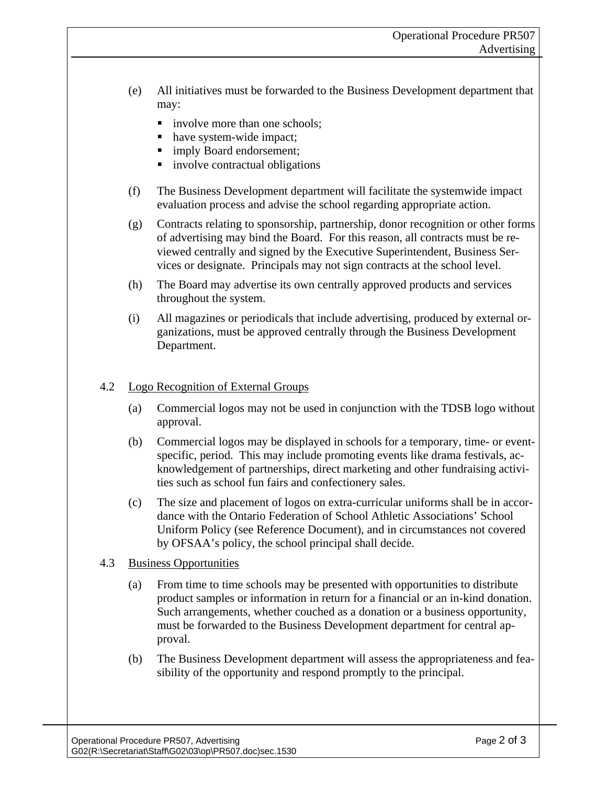- (e) All initiatives must be forwarded to the Business Development department that may:
	- involve more than one schools;
	- have system-wide impact;
	- imply Board endorsement;
	- involve contractual obligations
- (f) The Business Development department will facilitate the systemwide impact evaluation process and advise the school regarding appropriate action.
- (g) Contracts relating to sponsorship, partnership, donor recognition or other forms of advertising may bind the Board. For this reason, all contracts must be reviewed centrally and signed by the Executive Superintendent, Business Services or designate. Principals may not sign contracts at the school level.
- (h) The Board may advertise its own centrally approved products and services throughout the system.
- (i) All magazines or periodicals that include advertising, produced by external organizations, must be approved centrally through the Business Development Department.

#### 4.2 Logo Recognition of External Groups

- (a) Commercial logos may not be used in conjunction with the TDSB logo without approval.
- (b) Commercial logos may be displayed in schools for a temporary, time- or eventspecific, period. This may include promoting events like drama festivals, acknowledgement of partnerships, direct marketing and other fundraising activities such as school fun fairs and confectionery sales.
- (c) The size and placement of logos on extra-curricular uniforms shall be in accordance with the Ontario Federation of School Athletic Associations' School Uniform Policy (see Reference Document), and in circumstances not covered by OFSAA's policy, the school principal shall decide.

#### 4.3 Business Opportunities

- (a) From time to time schools may be presented with opportunities to distribute product samples or information in return for a financial or an in-kind donation. Such arrangements, whether couched as a donation or a business opportunity, must be forwarded to the Business Development department for central approval.
- (b) The Business Development department will assess the appropriateness and feasibility of the opportunity and respond promptly to the principal.